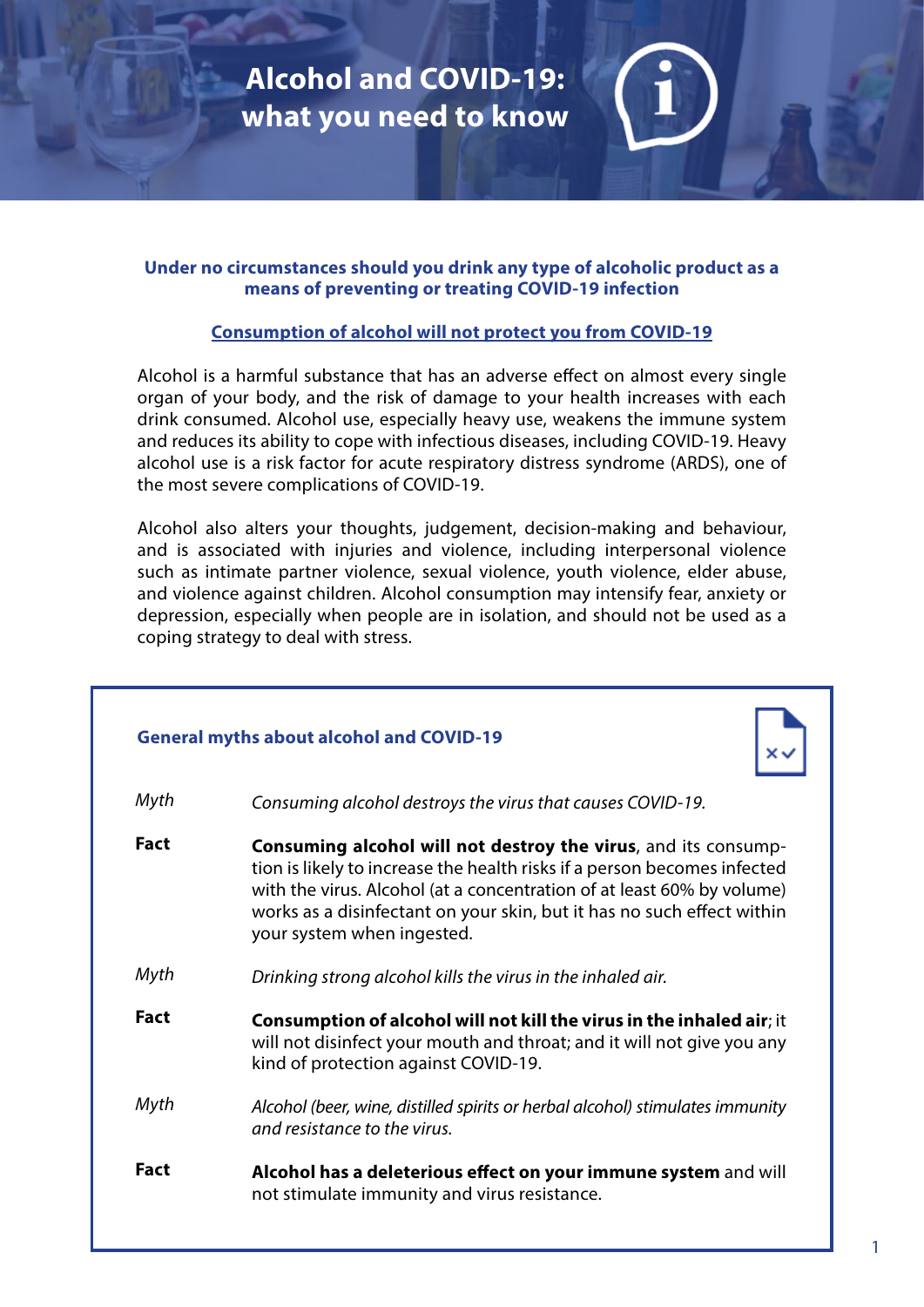**Alcohol and COVID-19: what you need to know**

## **Under no circumstances should you drink any type of alcoholic product as a means of preventing or treating COVID-19 infection**

## **Consumption of alcohol will not protect you from COVID-19**

Alcohol is a harmful substance that has an adverse effect on almost every single organ of your body, and the risk of damage to your health increases with each drink consumed. Alcohol use, especially heavy use, weakens the immune system and reduces its ability to cope with infectious diseases, including COVID-19. Heavy alcohol use is a risk factor for acute respiratory distress syndrome (ARDS), one of the most severe complications of COVID-19.

Alcohol also alters your thoughts, judgement, decision-making and behaviour, and is associated with injuries and violence, including interpersonal violence such as intimate partner violence, sexual violence, youth violence, elder abuse, and violence against children. Alcohol consumption may intensify fear, anxiety or depression, especially when people are in isolation, and should not be used as a coping strategy to deal with stress.

| <b>General myths about alcohol and COVID-19</b> |                                                                                                                                                                                                                                                                                                                              |
|-------------------------------------------------|------------------------------------------------------------------------------------------------------------------------------------------------------------------------------------------------------------------------------------------------------------------------------------------------------------------------------|
| Myth                                            | Consuming alcohol destroys the virus that causes COVID-19.                                                                                                                                                                                                                                                                   |
| <b>Fact</b>                                     | Consuming alcohol will not destroy the virus, and its consump-<br>tion is likely to increase the health risks if a person becomes infected<br>with the virus. Alcohol (at a concentration of at least 60% by volume)<br>works as a disinfectant on your skin, but it has no such effect within<br>your system when ingested. |
| Myth                                            | Drinking strong alcohol kills the virus in the inhaled air.                                                                                                                                                                                                                                                                  |
| <b>Fact</b>                                     | Consumption of alcohol will not kill the virus in the inhaled air; it<br>will not disinfect your mouth and throat; and it will not give you any<br>kind of protection against COVID-19.                                                                                                                                      |
| Myth                                            | Alcohol (beer, wine, distilled spirits or herbal alcohol) stimulates immunity<br>and resistance to the virus.                                                                                                                                                                                                                |
| <b>Fact</b>                                     | Alcohol has a deleterious effect on your immune system and will<br>not stimulate immunity and virus resistance.                                                                                                                                                                                                              |